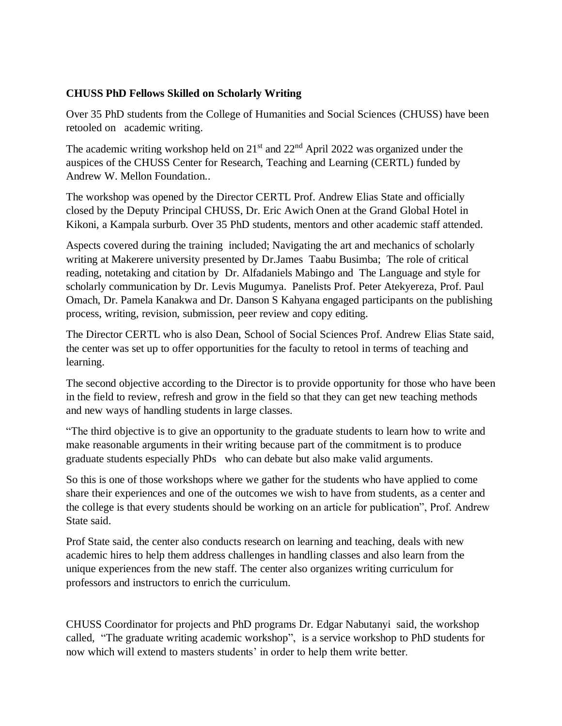## **CHUSS PhD Fellows Skilled on Scholarly Writing**

Over 35 PhD students from the College of Humanities and Social Sciences (CHUSS) have been retooled on academic writing.

The academic writing workshop held on  $21<sup>st</sup>$  and  $22<sup>nd</sup>$  April 2022 was organized under the auspices of the CHUSS Center for Research, Teaching and Learning (CERTL) funded by Andrew W. Mellon Foundation..

The workshop was opened by the Director CERTL Prof. Andrew Elias State and officially closed by the Deputy Principal CHUSS, Dr. Eric Awich Onen at the Grand Global Hotel in Kikoni, a Kampala surburb. Over 35 PhD students, mentors and other academic staff attended.

Aspects covered during the training included; Navigating the art and mechanics of scholarly writing at Makerere university presented by Dr.James Taabu Busimba; The role of critical reading, notetaking and citation by Dr. Alfadaniels Mabingo and The Language and style for scholarly communication by Dr. Levis Mugumya. Panelists Prof. Peter Atekyereza, Prof. Paul Omach, Dr. Pamela Kanakwa and Dr. Danson S Kahyana engaged participants on the publishing process, writing, revision, submission, peer review and copy editing.

The Director CERTL who is also Dean, School of Social Sciences Prof. Andrew Elias State said, the center was set up to offer opportunities for the faculty to retool in terms of teaching and learning.

The second objective according to the Director is to provide opportunity for those who have been in the field to review, refresh and grow in the field so that they can get new teaching methods and new ways of handling students in large classes.

"The third objective is to give an opportunity to the graduate students to learn how to write and make reasonable arguments in their writing because part of the commitment is to produce graduate students especially PhDs who can debate but also make valid arguments.

So this is one of those workshops where we gather for the students who have applied to come share their experiences and one of the outcomes we wish to have from students, as a center and the college is that every students should be working on an article for publication", Prof. Andrew State said.

Prof State said, the center also conducts research on learning and teaching, deals with new academic hires to help them address challenges in handling classes and also learn from the unique experiences from the new staff. The center also organizes writing curriculum for professors and instructors to enrich the curriculum.

CHUSS Coordinator for projects and PhD programs Dr. Edgar Nabutanyi said, the workshop called, "The graduate writing academic workshop", is a service workshop to PhD students for now which will extend to masters students' in order to help them write better.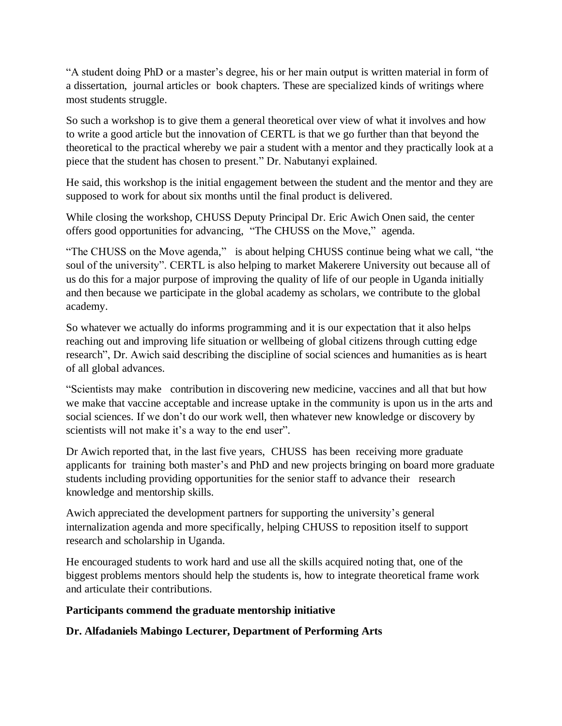"A student doing PhD or a master's degree, his or her main output is written material in form of a dissertation, journal articles or book chapters. These are specialized kinds of writings where most students struggle.

So such a workshop is to give them a general theoretical over view of what it involves and how to write a good article but the innovation of CERTL is that we go further than that beyond the theoretical to the practical whereby we pair a student with a mentor and they practically look at a piece that the student has chosen to present." Dr. Nabutanyi explained.

He said, this workshop is the initial engagement between the student and the mentor and they are supposed to work for about six months until the final product is delivered.

While closing the workshop, CHUSS Deputy Principal Dr. Eric Awich Onen said, the center offers good opportunities for advancing, "The CHUSS on the Move," agenda.

"The CHUSS on the Move agenda," is about helping CHUSS continue being what we call, "the soul of the university". CERTL is also helping to market Makerere University out because all of us do this for a major purpose of improving the quality of life of our people in Uganda initially and then because we participate in the global academy as scholars, we contribute to the global academy.

So whatever we actually do informs programming and it is our expectation that it also helps reaching out and improving life situation or wellbeing of global citizens through cutting edge research", Dr. Awich said describing the discipline of social sciences and humanities as is heart of all global advances.

"Scientists may make contribution in discovering new medicine, vaccines and all that but how we make that vaccine acceptable and increase uptake in the community is upon us in the arts and social sciences. If we don't do our work well, then whatever new knowledge or discovery by scientists will not make it's a way to the end user".

Dr Awich reported that, in the last five years, CHUSS has been receiving more graduate applicants for training both master's and PhD and new projects bringing on board more graduate students including providing opportunities for the senior staff to advance their research knowledge and mentorship skills.

Awich appreciated the development partners for supporting the university's general internalization agenda and more specifically, helping CHUSS to reposition itself to support research and scholarship in Uganda.

He encouraged students to work hard and use all the skills acquired noting that, one of the biggest problems mentors should help the students is, how to integrate theoretical frame work and articulate their contributions.

### **Participants commend the graduate mentorship initiative**

### **Dr. Alfadaniels Mabingo Lecturer, Department of Performing Arts**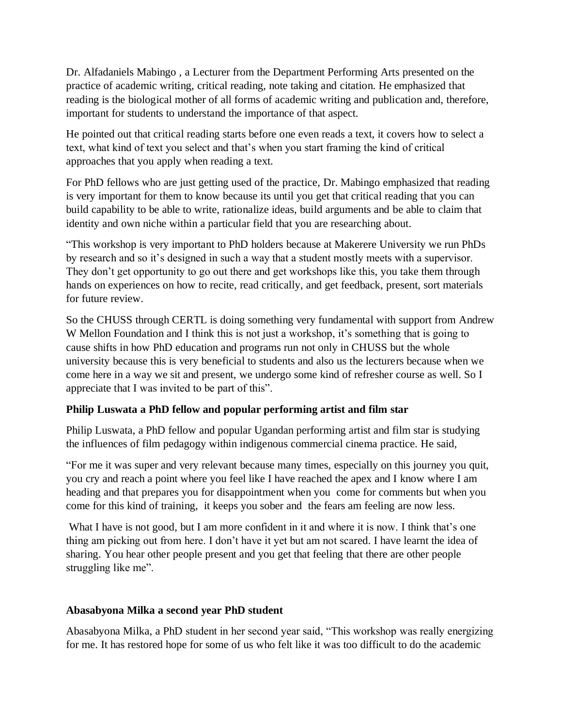Dr. Alfadaniels Mabingo , a Lecturer from the Department Performing Arts presented on the practice of academic writing, critical reading, note taking and citation. He emphasized that reading is the biological mother of all forms of academic writing and publication and, therefore, important for students to understand the importance of that aspect.

He pointed out that critical reading starts before one even reads a text, it covers how to select a text, what kind of text you select and that's when you start framing the kind of critical approaches that you apply when reading a text.

For PhD fellows who are just getting used of the practice, Dr. Mabingo emphasized that reading is very important for them to know because its until you get that critical reading that you can build capability to be able to write, rationalize ideas, build arguments and be able to claim that identity and own niche within a particular field that you are researching about.

"This workshop is very important to PhD holders because at Makerere University we run PhDs by research and so it's designed in such a way that a student mostly meets with a supervisor. They don't get opportunity to go out there and get workshops like this, you take them through hands on experiences on how to recite, read critically, and get feedback, present, sort materials for future review.

So the CHUSS through CERTL is doing something very fundamental with support from Andrew W Mellon Foundation and I think this is not just a workshop, it's something that is going to cause shifts in how PhD education and programs run not only in CHUSS but the whole university because this is very beneficial to students and also us the lecturers because when we come here in a way we sit and present, we undergo some kind of refresher course as well. So I appreciate that I was invited to be part of this".

# **Philip Luswata a PhD fellow and popular performing artist and film star**

Philip Luswata, a PhD fellow and popular Ugandan performing artist and film star is studying the influences of film pedagogy within indigenous commercial cinema practice. He said,

"For me it was super and very relevant because many times, especially on this journey you quit, you cry and reach a point where you feel like I have reached the apex and I know where I am heading and that prepares you for disappointment when you come for comments but when you come for this kind of training, it keeps you sober and the fears am feeling are now less.

What I have is not good, but I am more confident in it and where it is now. I think that's one thing am picking out from here. I don't have it yet but am not scared. I have learnt the idea of sharing. You hear other people present and you get that feeling that there are other people struggling like me".

### **Abasabyona Milka a second year PhD student**

Abasabyona Milka, a PhD student in her second year said, "This workshop was really energizing for me. It has restored hope for some of us who felt like it was too difficult to do the academic